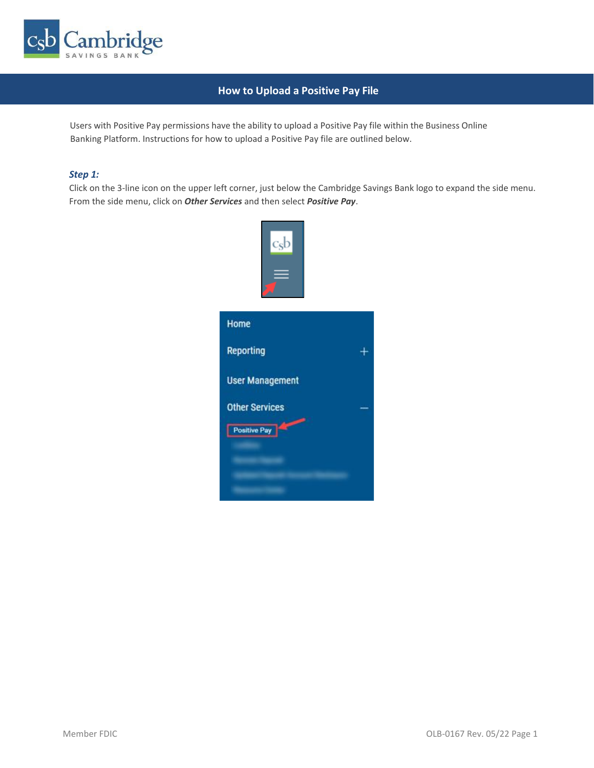

## **How to Upload a Positive Pay File**

Users with Positive Pay permissions have the ability to upload a Positive Pay file within the Business Online Banking Platform. Instructions for how to upload a Positive Pay file are outlined below.

#### *Step 1:*

Click on the 3-line icon on the upper left corner, just below the Cambridge Savings Bank logo to expand the side menu. From the side menu, click on *Other Services* and then select *Positive Pay*.

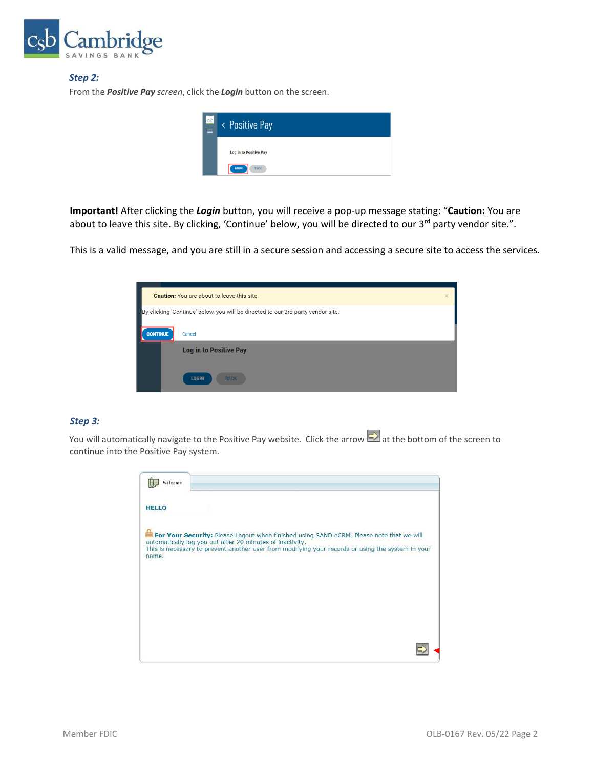

#### *Step 2:*

From the *Positive Pay screen*, click the *Login* button on the screen.

| $ c_{s}b $<br>Ξ | < Positive Pay                |
|-----------------|-------------------------------|
|                 | <b>Log in to Positive Pay</b> |
|                 | LOGIN<br><b>BACK</b>          |

**Important!** After clicking the *Login* button, you will receive a pop-up message stating: "**Caution:** You are about to leave this site. By clicking, 'Continue' below, you will be directed to our 3<sup>rd</sup> party vendor site.".

This is a valid message, and you are still in a secure session and accessing a secure site to access the services.

|                 | <b>Caution:</b> You are about to leave this site.                                | $\times$ |
|-----------------|----------------------------------------------------------------------------------|----------|
|                 | By clicking 'Continue' below, you will be directed to our 3rd party vendor site. |          |
| <b>CONTINUE</b> | Cancel                                                                           |          |
|                 | <b>Log in to Positive Pay</b>                                                    |          |
|                 | <b>LOGIN</b><br><b>BACK</b>                                                      |          |

### *Step 3:*

You will automatically navigate to the Positive Pay website. Click the arrow  $\Box$  at the bottom of the screen to continue into the Positive Pay system.

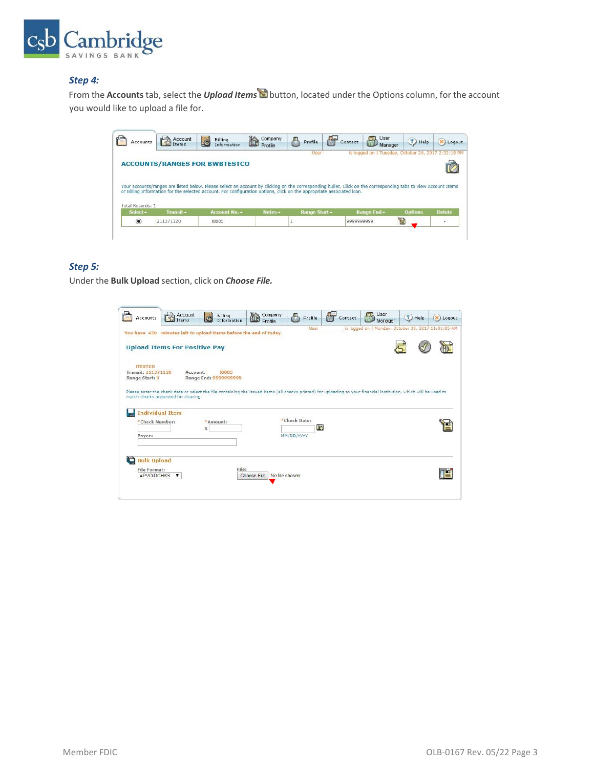

### *Step 4:*

From the **Accounts** tab, select the *Upload Items* button, located under the Options column, for the account you would like to upload a file for.

| is logged on   Tuesday, October 24, 2017 2:32:19 PM<br>User 1<br><b>ACCOUNTS/RANGES FOR BWBTESTCO</b><br>Your accounts/ranges are listed below. Please select an account by clicking on the corresponding bullet. Click on the corresponding tabs to view Account Items<br>or Billing Information for the selected account. For configuration options, click on the appropriate associated icon.<br>Total Records: 1<br>Select +<br>Transit +<br><b>Options</b><br>Notes -<br>Range End ~<br>Account No. 4<br>Range Start - | Accounts | Account | Billing<br>G<br>Information | E<br>Company<br>Profile | Æ<br>a<br>Profile | User<br>$\mathbb{C}$<br>Contact | ?) Help<br>Manager | X) Logout     |
|-----------------------------------------------------------------------------------------------------------------------------------------------------------------------------------------------------------------------------------------------------------------------------------------------------------------------------------------------------------------------------------------------------------------------------------------------------------------------------------------------------------------------------|----------|---------|-----------------------------|-------------------------|-------------------|---------------------------------|--------------------|---------------|
|                                                                                                                                                                                                                                                                                                                                                                                                                                                                                                                             |          |         |                             |                         |                   |                                 |                    |               |
|                                                                                                                                                                                                                                                                                                                                                                                                                                                                                                                             |          |         |                             |                         |                   |                                 |                    |               |
|                                                                                                                                                                                                                                                                                                                                                                                                                                                                                                                             |          |         |                             |                         |                   |                                 |                    |               |
|                                                                                                                                                                                                                                                                                                                                                                                                                                                                                                                             |          |         |                             |                         |                   |                                 |                    |               |
|                                                                                                                                                                                                                                                                                                                                                                                                                                                                                                                             |          |         |                             |                         |                   |                                 |                    |               |
|                                                                                                                                                                                                                                                                                                                                                                                                                                                                                                                             |          |         |                             |                         |                   |                                 |                    |               |
|                                                                                                                                                                                                                                                                                                                                                                                                                                                                                                                             |          |         |                             |                         |                   |                                 |                    |               |
|                                                                                                                                                                                                                                                                                                                                                                                                                                                                                                                             |          |         |                             |                         |                   |                                 |                    |               |
| $\circledbullet$<br>211371120<br>999999999<br>18885                                                                                                                                                                                                                                                                                                                                                                                                                                                                         |          |         |                             |                         |                   |                                 |                    | <b>Delete</b> |
|                                                                                                                                                                                                                                                                                                                                                                                                                                                                                                                             |          |         |                             |                         |                   |                                 |                    |               |

### *Step 5:*

Under the **Bulk Upload** section, click on *Choose File.*

| Accounts                                               | Account<br>Items                         | Billing<br>C<br>Information                                                                                                                                        | ĥ<br>Company<br>Profile       | a<br>Profile                     | Contact | User<br><b>STA</b><br>田山<br>Manager                 | $\mathcal{D}$ Help | X Logout |
|--------------------------------------------------------|------------------------------------------|--------------------------------------------------------------------------------------------------------------------------------------------------------------------|-------------------------------|----------------------------------|---------|-----------------------------------------------------|--------------------|----------|
|                                                        |                                          | You have 420 minutes left to upload items before the end of today.                                                                                                 |                               | User                             |         | is logged on   Monday, October 30, 2017 11:01:05 AM |                    |          |
|                                                        | <b>Upload Items For Positive Pay</b>     |                                                                                                                                                                    |                               |                                  |         |                                                     |                    |          |
| <b>ITESTCO</b><br>Transit: 211371120<br>Range Start: 1 | Account:                                 | 18885<br>Range End: 9999999999                                                                                                                                     |                               |                                  |         |                                                     |                    |          |
|                                                        | match checks presented for clearing.     | Please enter the check data or select the file containing the issued items (all checks printed) for uploading to your financial institution, which will be used to |                               |                                  |         |                                                     |                    |          |
| Payee:                                                 | <b>Individual Item</b><br>*Check Number: | *Amount:<br>Ś                                                                                                                                                      |                               | *Check Date:<br>B)<br>MM/DD/YYYY |         |                                                     |                    |          |
| <b>Bulk Upload</b>                                     |                                          |                                                                                                                                                                    |                               |                                  |         |                                                     |                    |          |
| File Format:<br><b>APVOIDCHKS</b>                      | $\mathbf{v}$                             | File:                                                                                                                                                              | Choose File<br>No file chosen |                                  |         |                                                     |                    |          |
|                                                        |                                          |                                                                                                                                                                    |                               |                                  |         |                                                     |                    |          |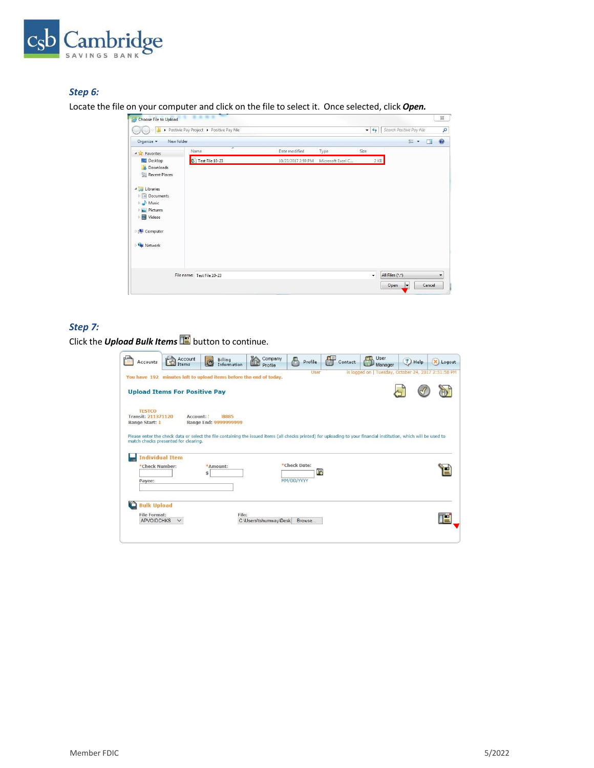

## *Step 6:*

Locate the file on your computer and click on the file to select it. Once selected, click *Open.*

| New folder<br>Organize v                                                                                                                        |                            |                    |                   |              |                                                     | E - | $\Box$ | 0          |
|-------------------------------------------------------------------------------------------------------------------------------------------------|----------------------------|--------------------|-------------------|--------------|-----------------------------------------------------|-----|--------|------------|
| <b>A</b> Favorites                                                                                                                              | Name                       | Date modified      | Type              | Size         |                                                     |     |        |            |
| Desktop<br>Downloads<br>Recent Places<br>d Libraries<br>Documents<br>Music<br>D.<br>Pictures<br><b>N</b> Videos<br><b>E</b> Computer<br>Retwork | ■ Test File 10-23          | 10/23/2017 2:59 PM | Microsoft Excel C |              | 2 K B                                               |     |        |            |
|                                                                                                                                                 | File name: Test File 10-23 |                    |                   | $\checkmark$ | All Files (*.*)<br>Open<br>$\vert \mathbf{v} \vert$ |     | Cancel | $\check{}$ |

# *Step 7:*

Click the *Upload Bulk Items* **E** button to continue.

| Accounts                                                     | Account<br>Items                     | Billing<br>Information                                             | Company<br>THE<br>Profile | A<br>Profile       | Contact | <b>User</b><br>Manager                                                                                                                                             | $?$ Help<br>X Logout                                |
|--------------------------------------------------------------|--------------------------------------|--------------------------------------------------------------------|---------------------------|--------------------|---------|--------------------------------------------------------------------------------------------------------------------------------------------------------------------|-----------------------------------------------------|
|                                                              |                                      | You have 192 minutes left to upload items before the end of today. |                           | User               |         |                                                                                                                                                                    | is logged on   Tuesday, October 24, 2017 2:51:58 PM |
|                                                              | <b>Upload Items For Positive Pay</b> |                                                                    |                           |                    |         |                                                                                                                                                                    |                                                     |
| <b>TESTCO</b><br><b>Transit: 211371120</b><br>Range Start: 1 | Account:                             | 8885<br>Range End: 9999999999                                      |                           |                    |         |                                                                                                                                                                    |                                                     |
|                                                              | match checks presented for clearing. |                                                                    |                           |                    |         | Please enter the check data or select the file containing the issued items (all checks printed) for uploading to your financial institution, which will be used to |                                                     |
| <b>Individual Item</b>                                       |                                      |                                                                    |                           |                    |         |                                                                                                                                                                    |                                                     |
| *Check Number:                                               |                                      | *Amount:<br>Ś.                                                     |                           | *Check Date:<br>34 |         |                                                                                                                                                                    |                                                     |
| Payee:                                                       |                                      |                                                                    |                           | MM/DD/YYYY         |         |                                                                                                                                                                    |                                                     |
|                                                              |                                      |                                                                    |                           |                    |         |                                                                                                                                                                    |                                                     |
| <b>Bulk Upload</b>                                           |                                      |                                                                    |                           |                    |         |                                                                                                                                                                    |                                                     |
| <b>File Format:</b>                                          | $\checkmark$                         | File:                                                              |                           |                    |         |                                                                                                                                                                    |                                                     |
| <b>APVOIDCHKS</b>                                            |                                      |                                                                    | C:\Users\tshumway\Desk    | Browse             |         |                                                                                                                                                                    |                                                     |
|                                                              |                                      |                                                                    |                           |                    |         |                                                                                                                                                                    |                                                     |